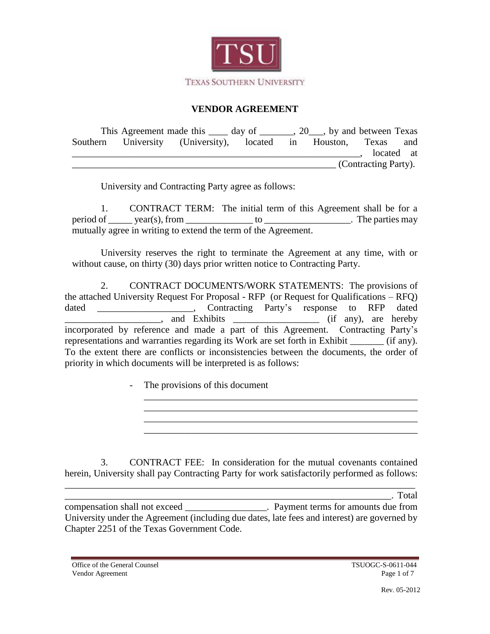

# **VENDOR AGREEMENT**

|  | This Agreement made this ______ day of ________, 20___, by and between Texas |  |                      |  |  |
|--|------------------------------------------------------------------------------|--|----------------------|--|--|
|  | Southern University (University), located in Houston, Texas and              |  |                      |  |  |
|  |                                                                              |  | located at           |  |  |
|  |                                                                              |  | (Contracting Party). |  |  |

University and Contracting Party agree as follows:

1. CONTRACT TERM: The initial term of this Agreement shall be for a period of \_\_\_\_\_ year(s), from \_\_\_\_\_\_\_\_\_\_\_\_\_\_ to \_\_\_\_\_\_\_\_\_\_\_\_\_\_\_\_\_\_. The parties may mutually agree in writing to extend the term of the Agreement.

University reserves the right to terminate the Agreement at any time, with or without cause, on thirty (30) days prior written notice to Contracting Party.

2. CONTRACT DOCUMENTS/WORK STATEMENTS: The provisions of the attached University Request For Proposal - RFP (or Request for Qualifications – RFQ) dated \_\_\_\_\_\_\_\_\_\_\_\_\_\_\_\_\_\_\_\_, Contracting Party's response to RFP dated **EXECUTE:** And Exhibits <u>and Exhibits</u> and Exhibits and Exhibits and Exhibits and Exhibits and Exhibits and Exhibits and Exhibits and Exhibits and Exhibits and Exhibits and Exhibits and Exhibits and Exhibits and Exhibits a incorporated by reference and made a part of this Agreement. Contracting Party's representations and warranties regarding its Work are set forth in Exhibit (if any). To the extent there are conflicts or inconsistencies between the documents, the order of priority in which documents will be interpreted is as follows:

\_\_\_\_\_\_\_\_\_\_\_\_\_\_\_\_\_\_\_\_\_\_\_\_\_\_\_\_\_\_\_\_\_\_\_\_\_\_\_\_\_\_\_\_\_\_\_\_\_\_\_\_\_\_\_\_\_

\_\_\_\_\_\_\_\_\_\_\_\_\_\_\_\_\_\_\_\_\_\_\_\_\_\_\_\_\_\_\_\_\_\_\_\_\_\_\_\_\_\_\_\_\_\_\_\_\_\_\_\_\_\_\_\_\_

- The provisions of this document

3. CONTRACT FEE: In consideration for the mutual covenants contained herein, University shall pay Contracting Party for work satisfactorily performed as follows:

\_\_\_\_\_\_\_\_\_\_\_\_\_\_\_\_\_\_\_\_\_\_\_\_\_\_\_\_\_\_\_\_\_\_\_\_\_\_\_\_\_\_\_\_\_\_\_\_\_\_\_\_\_\_\_\_\_\_\_\_\_\_\_\_\_\_\_\_. Total compensation shall not exceed \_\_\_\_\_\_\_\_\_\_\_\_\_\_\_\_\_. Payment terms for amounts due from University under the Agreement (including due dates, late fees and interest) are governed by Chapter 2251 of the Texas Government Code.

\_\_\_\_\_\_\_\_\_\_\_\_\_\_\_\_\_\_\_\_\_\_\_\_\_\_\_\_\_\_\_\_\_\_\_\_\_\_\_\_\_\_\_\_\_\_\_\_\_\_\_\_\_\_\_\_\_\_\_\_\_\_\_\_\_\_\_\_\_\_\_\_\_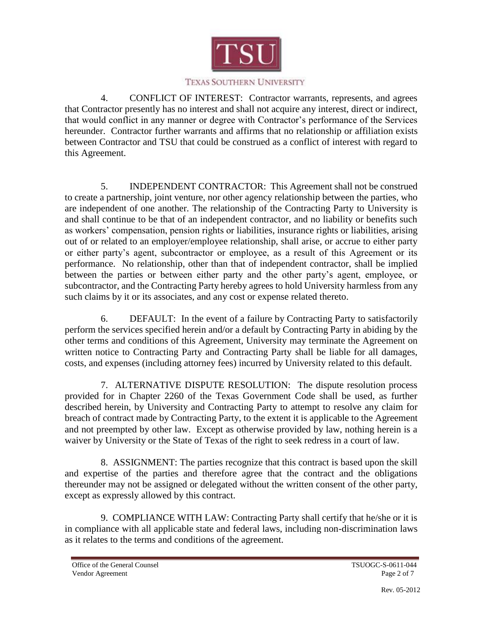

### TEXAS SOUTHERN UNIVERSITY

4. CONFLICT OF INTEREST: Contractor warrants, represents, and agrees that Contractor presently has no interest and shall not acquire any interest, direct or indirect, that would conflict in any manner or degree with Contractor's performance of the Services hereunder. Contractor further warrants and affirms that no relationship or affiliation exists between Contractor and TSU that could be construed as a conflict of interest with regard to this Agreement.

5. INDEPENDENT CONTRACTOR: This Agreement shall not be construed to create a partnership, joint venture, nor other agency relationship between the parties, who are independent of one another. The relationship of the Contracting Party to University is and shall continue to be that of an independent contractor, and no liability or benefits such as workers' compensation, pension rights or liabilities, insurance rights or liabilities, arising out of or related to an employer/employee relationship, shall arise, or accrue to either party or either party's agent, subcontractor or employee, as a result of this Agreement or its performance. No relationship, other than that of independent contractor, shall be implied between the parties or between either party and the other party's agent, employee, or subcontractor, and the Contracting Party hereby agrees to hold University harmless from any such claims by it or its associates, and any cost or expense related thereto.

6. DEFAULT: In the event of a failure by Contracting Party to satisfactorily perform the services specified herein and/or a default by Contracting Party in abiding by the other terms and conditions of this Agreement, University may terminate the Agreement on written notice to Contracting Party and Contracting Party shall be liable for all damages, costs, and expenses (including attorney fees) incurred by University related to this default.

7. ALTERNATIVE DISPUTE RESOLUTION: The dispute resolution process provided for in Chapter 2260 of the Texas Government Code shall be used, as further described herein, by University and Contracting Party to attempt to resolve any claim for breach of contract made by Contracting Party, to the extent it is applicable to the Agreement and not preempted by other law. Except as otherwise provided by law, nothing herein is a waiver by University or the State of Texas of the right to seek redress in a court of law.

8. ASSIGNMENT: The parties recognize that this contract is based upon the skill and expertise of the parties and therefore agree that the contract and the obligations thereunder may not be assigned or delegated without the written consent of the other party, except as expressly allowed by this contract.

9. COMPLIANCE WITH LAW: Contracting Party shall certify that he/she or it is in compliance with all applicable state and federal laws, including non-discrimination laws as it relates to the terms and conditions of the agreement.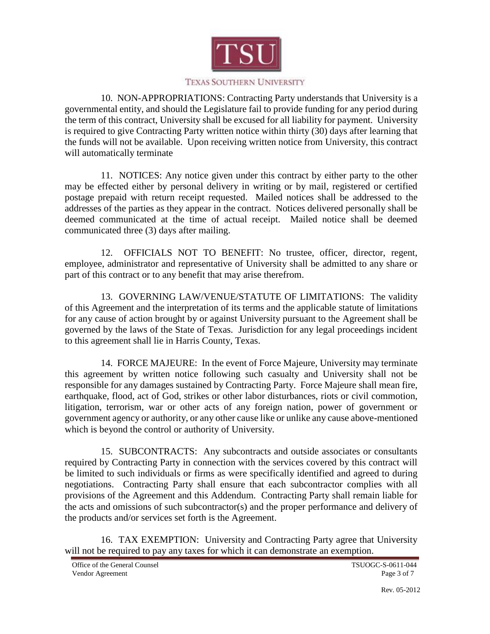

### TEXAS SOUTHERN UNIVERSITY

10. NON-APPROPRIATIONS: Contracting Party understands that University is a governmental entity, and should the Legislature fail to provide funding for any period during the term of this contract, University shall be excused for all liability for payment. University is required to give Contracting Party written notice within thirty (30) days after learning that the funds will not be available. Upon receiving written notice from University, this contract will automatically terminate

11. NOTICES: Any notice given under this contract by either party to the other may be effected either by personal delivery in writing or by mail, registered or certified postage prepaid with return receipt requested. Mailed notices shall be addressed to the addresses of the parties as they appear in the contract. Notices delivered personally shall be deemed communicated at the time of actual receipt. Mailed notice shall be deemed communicated three (3) days after mailing.

12. OFFICIALS NOT TO BENEFIT: No trustee, officer, director, regent, employee, administrator and representative of University shall be admitted to any share or part of this contract or to any benefit that may arise therefrom.

13. GOVERNING LAW/VENUE/STATUTE OF LIMITATIONS: The validity of this Agreement and the interpretation of its terms and the applicable statute of limitations for any cause of action brought by or against University pursuant to the Agreement shall be governed by the laws of the State of Texas. Jurisdiction for any legal proceedings incident to this agreement shall lie in Harris County, Texas.

14. FORCE MAJEURE: In the event of Force Majeure, University may terminate this agreement by written notice following such casualty and University shall not be responsible for any damages sustained by Contracting Party. Force Majeure shall mean fire, earthquake, flood, act of God, strikes or other labor disturbances, riots or civil commotion, litigation, terrorism, war or other acts of any foreign nation, power of government or government agency or authority, or any other cause like or unlike any cause above-mentioned which is beyond the control or authority of University.

15. SUBCONTRACTS: Any subcontracts and outside associates or consultants required by Contracting Party in connection with the services covered by this contract will be limited to such individuals or firms as were specifically identified and agreed to during negotiations. Contracting Party shall ensure that each subcontractor complies with all provisions of the Agreement and this Addendum. Contracting Party shall remain liable for the acts and omissions of such subcontractor(s) and the proper performance and delivery of the products and/or services set forth is the Agreement.

16. TAX EXEMPTION: University and Contracting Party agree that University will not be required to pay any taxes for which it can demonstrate an exemption.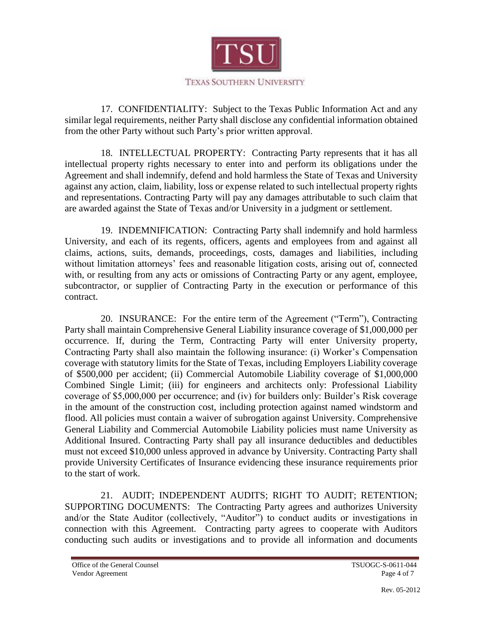

17. CONFIDENTIALITY: Subject to the Texas Public Information Act and any similar legal requirements, neither Party shall disclose any confidential information obtained from the other Party without such Party's prior written approval.

18. INTELLECTUAL PROPERTY: Contracting Party represents that it has all intellectual property rights necessary to enter into and perform its obligations under the Agreement and shall indemnify, defend and hold harmless the State of Texas and University against any action, claim, liability, loss or expense related to such intellectual property rights and representations. Contracting Party will pay any damages attributable to such claim that are awarded against the State of Texas and/or University in a judgment or settlement.

19. INDEMNIFICATION: Contracting Party shall indemnify and hold harmless University, and each of its regents, officers, agents and employees from and against all claims, actions, suits, demands, proceedings, costs, damages and liabilities, including without limitation attorneys' fees and reasonable litigation costs, arising out of, connected with, or resulting from any acts or omissions of Contracting Party or any agent, employee, subcontractor, or supplier of Contracting Party in the execution or performance of this contract.

20. INSURANCE: For the entire term of the Agreement ("Term"), Contracting Party shall maintain Comprehensive General Liability insurance coverage of \$1,000,000 per occurrence. If, during the Term, Contracting Party will enter University property, Contracting Party shall also maintain the following insurance: (i) Worker's Compensation coverage with statutory limits for the State of Texas, including Employers Liability coverage of \$500,000 per accident; (ii) Commercial Automobile Liability coverage of \$1,000,000 Combined Single Limit; (iii) for engineers and architects only: Professional Liability coverage of \$5,000,000 per occurrence; and (iv) for builders only: Builder's Risk coverage in the amount of the construction cost, including protection against named windstorm and flood. All policies must contain a waiver of subrogation against University. Comprehensive General Liability and Commercial Automobile Liability policies must name University as Additional Insured. Contracting Party shall pay all insurance deductibles and deductibles must not exceed \$10,000 unless approved in advance by University. Contracting Party shall provide University Certificates of Insurance evidencing these insurance requirements prior to the start of work.

21. AUDIT; INDEPENDENT AUDITS; RIGHT TO AUDIT; RETENTION; SUPPORTING DOCUMENTS: The Contracting Party agrees and authorizes University and/or the State Auditor (collectively, "Auditor") to conduct audits or investigations in connection with this Agreement. Contracting party agrees to cooperate with Auditors conducting such audits or investigations and to provide all information and documents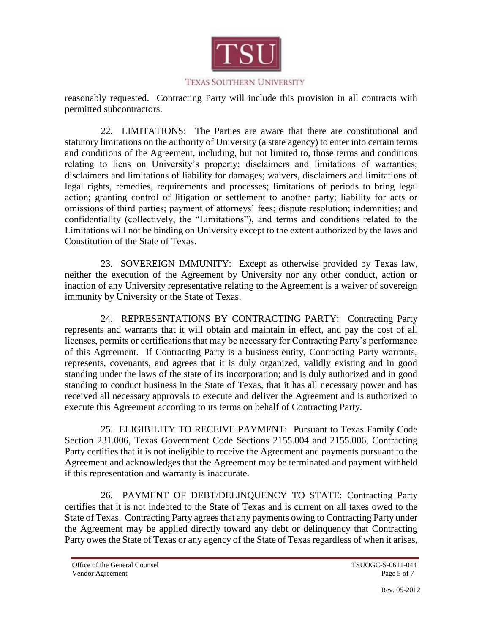

reasonably requested. Contracting Party will include this provision in all contracts with permitted subcontractors.

22. LIMITATIONS: The Parties are aware that there are constitutional and statutory limitations on the authority of University (a state agency) to enter into certain terms and conditions of the Agreement, including, but not limited to, those terms and conditions relating to liens on University's property; disclaimers and limitations of warranties; disclaimers and limitations of liability for damages; waivers, disclaimers and limitations of legal rights, remedies, requirements and processes; limitations of periods to bring legal action; granting control of litigation or settlement to another party; liability for acts or omissions of third parties; payment of attorneys' fees; dispute resolution; indemnities; and confidentiality (collectively, the "Limitations"), and terms and conditions related to the Limitations will not be binding on University except to the extent authorized by the laws and Constitution of the State of Texas.

23. SOVEREIGN IMMUNITY: Except as otherwise provided by Texas law, neither the execution of the Agreement by University nor any other conduct, action or inaction of any University representative relating to the Agreement is a waiver of sovereign immunity by University or the State of Texas.

24. REPRESENTATIONS BY CONTRACTING PARTY: Contracting Party represents and warrants that it will obtain and maintain in effect, and pay the cost of all licenses, permits or certifications that may be necessary for Contracting Party's performance of this Agreement. If Contracting Party is a business entity, Contracting Party warrants, represents, covenants, and agrees that it is duly organized, validly existing and in good standing under the laws of the state of its incorporation; and is duly authorized and in good standing to conduct business in the State of Texas, that it has all necessary power and has received all necessary approvals to execute and deliver the Agreement and is authorized to execute this Agreement according to its terms on behalf of Contracting Party.

25. ELIGIBILITY TO RECEIVE PAYMENT: Pursuant to Texas Family Code Section 231.006, Texas Government Code Sections 2155.004 and 2155.006, Contracting Party certifies that it is not ineligible to receive the Agreement and payments pursuant to the Agreement and acknowledges that the Agreement may be terminated and payment withheld if this representation and warranty is inaccurate.

26. PAYMENT OF DEBT/DELINQUENCY TO STATE: Contracting Party certifies that it is not indebted to the State of Texas and is current on all taxes owed to the State of Texas. Contracting Party agrees that any payments owing to Contracting Party under the Agreement may be applied directly toward any debt or delinquency that Contracting Party owes the State of Texas or any agency of the State of Texas regardless of when it arises,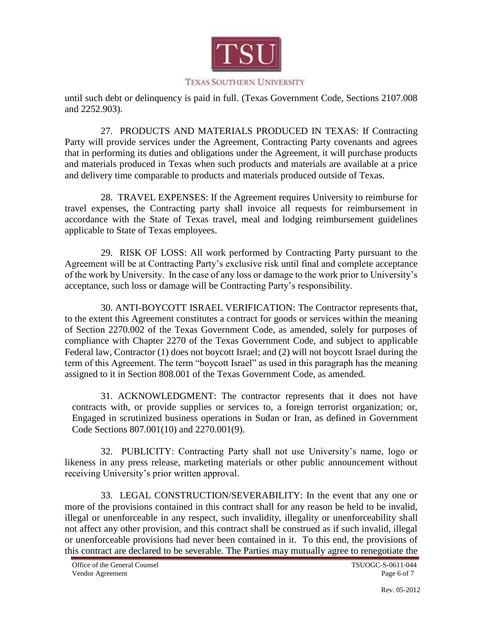

until such debt or delinquency is paid in full. (Texas Government Code, Sections 2107.008 and 2252.903).

27. PRODUCTS AND MATERIALS PRODUCED IN TEXAS: If Contracting Party will provide services under the Agreement, Contracting Party covenants and agrees that in performing its duties and obligations under the Agreement, it will purchase products and materials produced in Texas when such products and materials are available at a price and delivery time comparable to products and materials produced outside of Texas.

28. TRAVEL EXPENSES: If the Agreement requires University to reimburse for travel expenses, the Contracting party shall invoice all requests for reimbursement in accordance with the State of Texas travel, meal and lodging reimbursement guidelines applicable to State of Texas employees.

29. RISK OF LOSS: All work performed by Contracting Party pursuant to the Agreement will be at Contracting Party's exclusive risk until final and complete acceptance of the work by University. In the case of any loss or damage to the work prior to University's acceptance, such loss or damage will be Contracting Party's responsibility.

30. ANTI-BOYCOTT ISRAEL VERIFICATION: The Contractor represents that, to the extent this Agreement constitutes a contract for goods or services within the meaning of Section 2270.002 of the Texas Government Code, as amended, solely for purposes of compliance with Chapter 2270 of the Texas Government Code, and subject to applicable Federal law, Contractor (1) does not boycott Israel; and (2) will not boycott Israel during the term of this Agreement. The term "boycott Israel" as used in this paragraph has the meaning assigned to it in Section 808.001 of the Texas Government Code, as amended.

31. ACKNOWLEDGMENT: The contractor represents that it does not have contracts with, or provide supplies or services to, a foreign terrorist organization; or, Engaged in scrutinized business operations in Sudan or Iran, as defined in Government Code Sections 807.001(10) and 2270.001(9).

32. PUBLICITY: Contracting Party shall not use University's name, logo or likeness in any press release, marketing materials or other public announcement without receiving University's prior written approval.

33. LEGAL CONSTRUCTION/SEVERABILITY: In the event that any one or more of the provisions contained in this contract shall for any reason be held to be invalid, illegal or unenforceable in any respect, such invalidity, illegality or unenforceability shall not affect any other provision, and this contract shall be construed as if such invalid, illegal or unenforceable provisions had never been contained in it. To this end, the provisions of this contract are declared to be severable. The Parties may mutually agree to renegotiate the